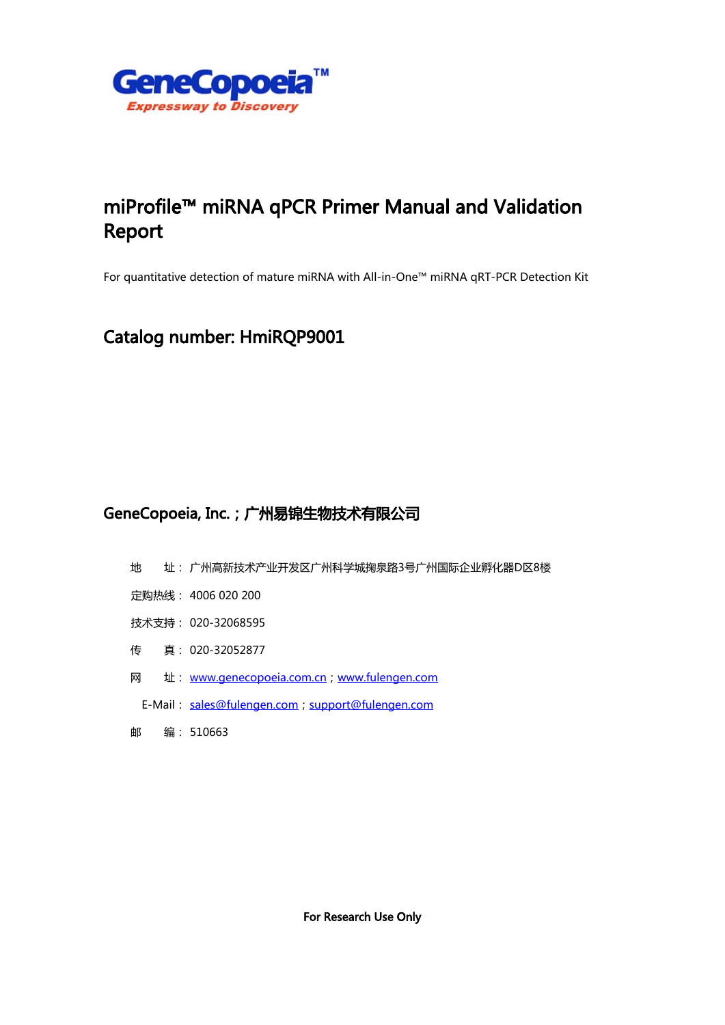

# miProfile™ miRNA qPCR Primer Manual and Validation Report

For quantitative detection of mature miRNA with All-in-One™ miRNA qRT-PCR Detection Kit

## Catalog number: HmiRQP9001

## GeneCopoeia, Inc.;广州易锦生物技术有限公司

- 地 址: 广州高新技术产业开发区广州科学城掬泉路3号广州国际企业孵化器D区8楼
- 定购热线: 4006 020 200
- 技术支持: 020-32068595
- 传 真: 020-32052877
- 网址: [www.genecopoeia.com.cn](http://www.genecopoeia.com.cn)[;www.fulengen.com](http://www.fulengen.com)
- E-Mail: [sales@fulengen.com](mailto:sales@fulengen.com); support@fulengen.com
- 邮 编: 510663

For Research Use Only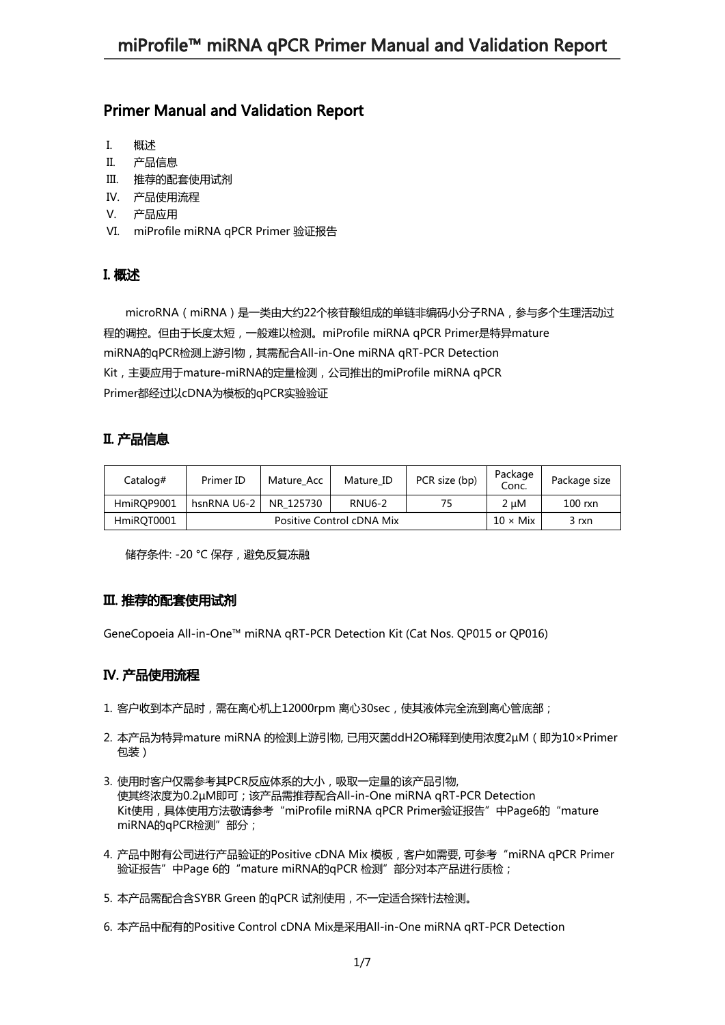## Primer Manual and Validation Report

- I. 概述
- II. 产品信息
- III. 推荐的配套使用试剂
- IV. 产品使用流程
- V. 产品应用
- VI. miProfile miRNA qPCR Primer 验证报告

## I. 概述

microRNA(miRNA)是一类由大约22个核苷酸组成的单链非编码小分子RNA,参与多个生理活动过 程的调控。但由于长度太短,一般难以检测。miProfile miRNA qPCR Primer是特异mature miRNA的qPCR检测上游引物,其需配合All-in-One miRNA qRT-PCR Detection Kit,主要应用于mature-miRNA的定量检测,公司推出的miProfile miRNA qPCR Primer都经过以cDNA为模板的qPCR实验验证

### II. 产品信息

| Catalog#   | Primer ID                 | Mature Acc | Mature ID     | PCR size (bp)   | Package<br>Conc. | Package size |
|------------|---------------------------|------------|---------------|-----------------|------------------|--------------|
| HmiROP9001 | hsnRNA U6-2               | NR 125730  | <b>RNU6-2</b> | 75              | 2 uM             | $100$ rxn    |
| HmiROT0001 | Positive Control cDNA Mix |            |               | $10 \times$ Mix | 3 rxn            |              |

储存条件: -20 °C 保存,避免反复冻融

### III. 推荐的配套使用试剂

GeneCopoeia All-in-One™ miRNA qRT-PCR Detection Kit (Cat Nos. QP015 or QP016)

### IV. 产品使用流程

- 1. 客户收到本产品时,需在离心机上12000rpm 离心30sec,使其液体完全流到离心管底部;
- 2. 本产品为特异mature miRNA 的检测上游引物, 已用灭菌ddH2O稀释到使用浓度2μM (即为10×Primer 包装)
- 3. 使用时客户仅需参考其PCR反应体系的大小,吸取一定量的该产品引物, 使其终浓度为0.2µM即可;该产品需推荐配合All-in-One miRNA qRT-PCR Detection Kit使用,具体使用方法敬请参考"miProfile miRNA qPCR Primer验证报告"中Page6的"mature miRNA的qPCR检测"部分;
- 4. 产品中附有公司进行产品验证的Positive cDNA Mix 模板,客户如需要, 可参考"miRNA qPCR Primer 验证报告"中Page 6的"mature miRNA的qPCR 检测"部分对本产品进行质检;
- 5. 本产品需配合含SYBR Green 的qPCR 试剂使用,不一定适合探针法检测。
- 6. 本产品中配有的Positive Control cDNA Mix是采用All-in-One miRNA qRT-PCR Detection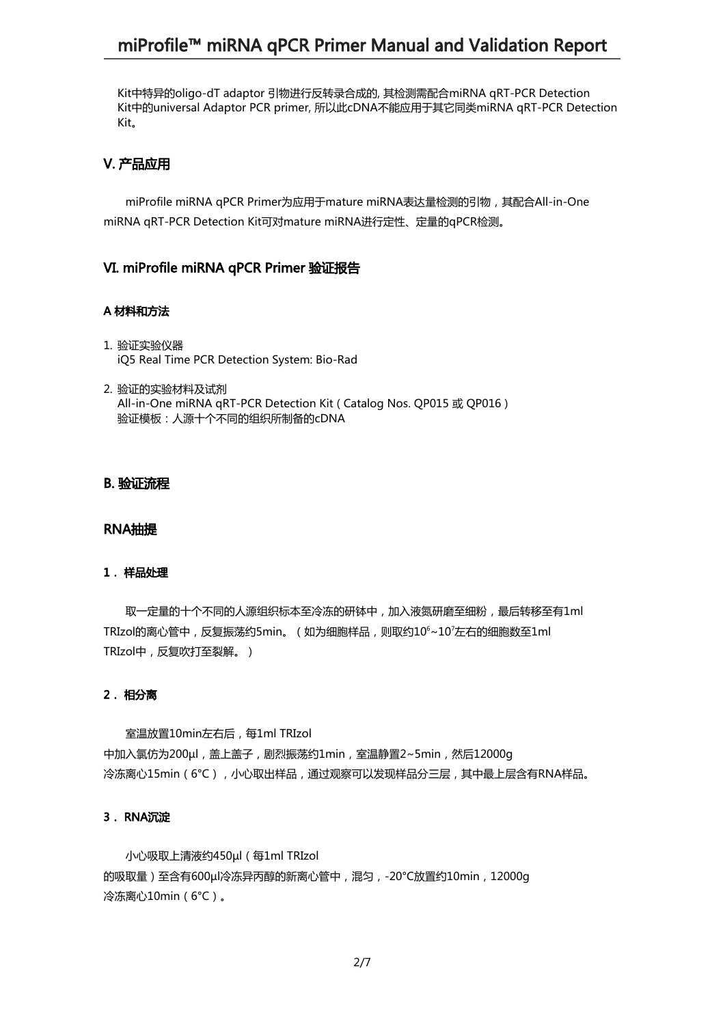## miProfile™ miRNA qPCR Primer Manual and Validation Report

Kit中特异的oligo-dT adaptor 引物进行反转录合成的, 其检测需配合miRNA qRT-PCR Detection Kit中的universal Adaptor PCR primer, 所以此cDNA不能应用于其它同类miRNA qRT-PCR Detection Kit。

#### V. 产品应用

miProfile miRNA qPCR Primer为应用于mature miRNA表达量检测的引物,其配合All-in-One miRNA qRT-PCR Detection Kit可对mature miRNA进行定性、定量的qPCR检测。

#### VI. miProfile miRNA qPCR Primer 验证报告

#### A 材料和方法

- 1. 验证实验仪器 iQ5 Real Time PCR Detection System: Bio-Rad
- 2. 验证的实验材料及试剂 All-in-One miRNA qRT-PCR Detection Kit ( Catalog Nos. QP015 或 QP016 ) 验证模板:人源十个不同的组织所制备的cDNA

#### B. 验证流程

#### RNA抽提

#### 1. 样品处理

取一定量的十个不同的人源组织标本至冷冻的研钵中,加入液氮研磨至细粉,最后转移至有1ml TRIzol的离心管中,反复振荡约5min。(如为细胞样品,则取约10<sup>6</sup>~10<sup>7</sup>左右的细胞数至1ml TRIzol中,反复吹打至裂解。)

#### 2. 相分离

室温放置10min左右后,每1ml TRIzol 中加入氯仿为200gl, 盖上盖子, 剧烈振荡约1min, 室温静置2~5min, 然后12000g 冷冻离心15min(6℃),小心取出样品,通过观察可以发现样品分三层,其中最上层含有RNA样品。

#### 3. RNA沉淀

小心吸取上清液约450µl(每1ml TRIzol 的吸取量)至含有600µl冷冻异丙醇的新离心管中,混匀,-20°C放置约10min,12000g 冷冻离心10min(6°C)。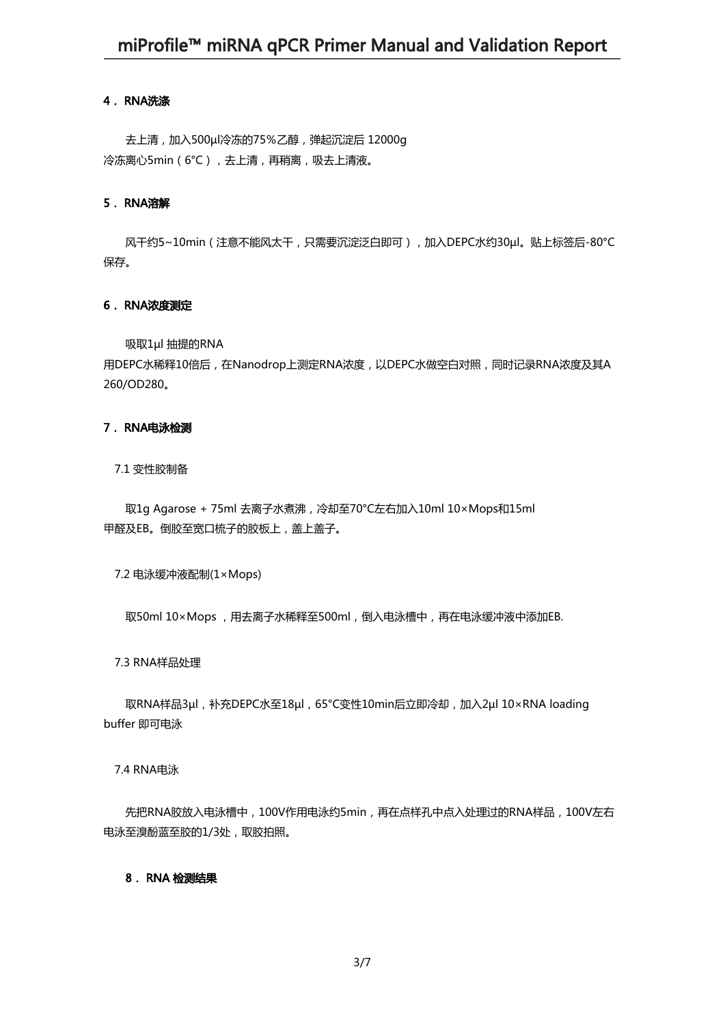#### 4. RNA洗涤

去上清,加入500µl冷冻的75%乙醇,弹起沉淀后 12000g 冷冻离心5min(6°C),去上清,再稍离,吸去上清液。

#### 5. RNA溶解

风干约5~10min(注意不能风太干,只需要沉淀泛白即可),加入DEPC水约30µl。贴上标签后-80°C 保存。

#### 6. RNA浓度测定

吸取1µl 抽提的RNA

用DEPC水稀释10倍后,在Nanodrop上测定RNA浓度,以DEPC水做空白对照,同时记录RNA浓度及其A 260/OD280。

#### 7. RNA电泳检测

7.1 变性胶制备

取1g Agarose + 75ml 去离子水煮沸,冷却至70°C左右加入10ml 10×Mops和15ml 甲醛及EB。倒胶至宽口梳子的胶板上,盖上盖子。

7.2 电泳缓冲液配制(1×Mops)

取50ml 10×Mops , 用去离子水稀释至500ml, 倒入电泳槽中, 再在电泳缓冲液中添加EB.

7.3 RNA样品处理

取RNA样品3µl,补充DEPC水至18µl,65°C变性10min后立即冷却,加入2µl 10×RNA loading buffer 即可电泳

#### 7.4 RNA电泳

先把RNA胶放入电泳槽中,100V作用电泳约5min,再在点样孔中点入处理过的RNA样品,100V左右 电泳至溴酚蓝至胶的1/3处,取胶拍照。

#### 8. RNA 检测结果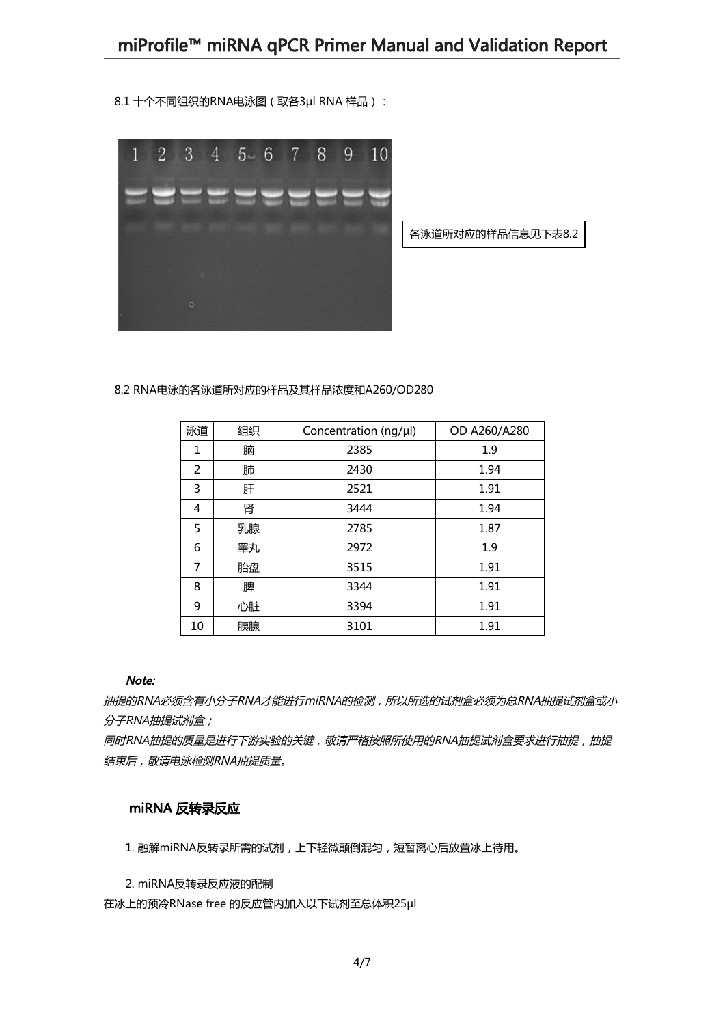8.1 十个不同组织的RNA电泳图 (取各3µl RNA 样品):



各泳道所对应的样品信息见下表8.2

8.2 RNA电泳的各泳道所对应的样品及其样品浓度和A260/OD280

| 泳道 | 组织 | Concentration (ng/µl) | OD A260/A280 |
|----|----|-----------------------|--------------|
| 1  | 脑  | 2385                  | 1.9          |
| 2  | 肺  | 2430                  | 1.94         |
| 3  | 肝  | 2521                  | 1.91         |
| 4  | 肾  | 3444                  | 1.94         |
| 5  | 乳腺 | 2785                  | 1.87         |
| 6  | 睾丸 | 2972                  | 1.9          |
| 7  | 胎盘 | 3515                  | 1.91         |
| 8  | 脾  | 3344                  | 1.91         |
| 9  | 心脏 | 3394                  | 1.91         |
| 10 | 胰腺 | 3101                  | 1.91         |

#### Note:

抽提的RNA必须含有小分子RNA才能进行miRNA的检测,所以所选的试剂盒必须为总RNA抽提试剂盒或小 分子RNA抽提试剂盒;

同时RNA抽提的质量是进行下游实验的关键, 敬请严格按照所使用的RNA抽提试剂盒要求进行抽提, 抽提 结束后,敬请电泳检测RNA抽提质量。

## miRNA 反转录反应

1. 融解miRNA反转录所需的试剂,上下轻微颠倒混匀,短暂离心后放置冰上待用。

2. miRNA反转录反应液的配制

在冰上的预冷RNase free 的反应管内加入以下试剂至总体积25µl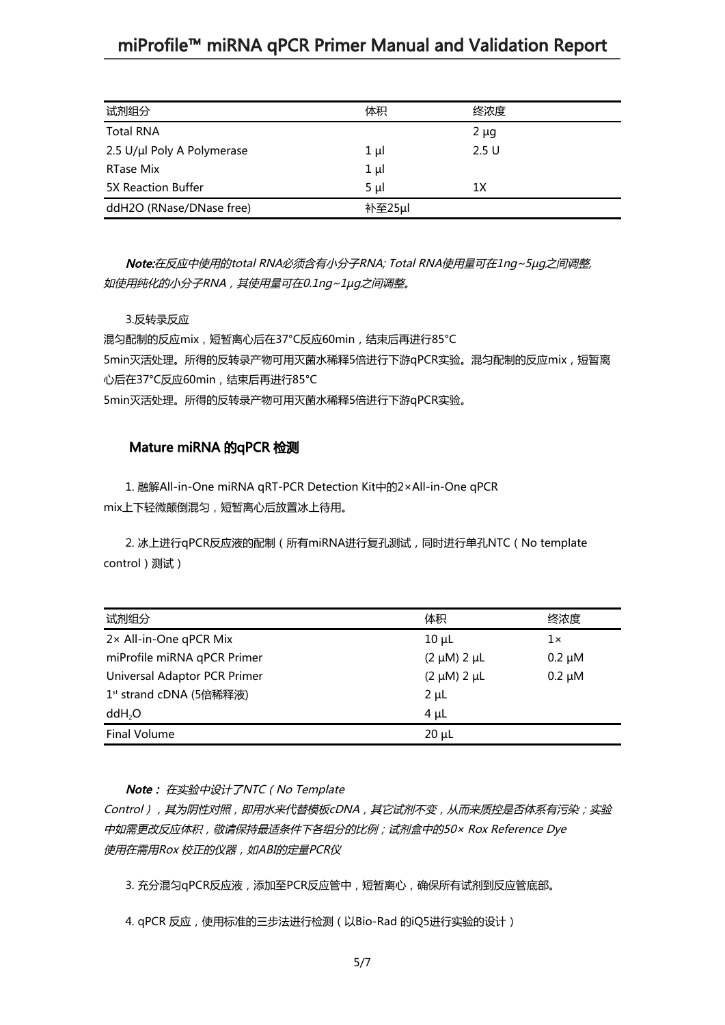## miProfile™ miRNA qPCR Primer Manual and Validation Report

| 试剂组分                       | 体积      | 终浓度       |
|----------------------------|---------|-----------|
| <b>Total RNA</b>           |         | $2 \mu g$ |
| 2.5 U/µl Poly A Polymerase | $1 \mu$ | 2.5U      |
| RTase Mix                  | $1 \mu$ |           |
| 5X Reaction Buffer         | $5 \mu$ | 1Х        |
| ddH2O (RNase/DNase free)   | 补至25µl  |           |

Note:在反应中使用的total RNA必须含有小分子RNA; Total RNA使用量可在1ng~5µg之间调整, 如使用纯化的小分子RNA,其使用量可在0.1ng~1µg之间调整。

3.反转录反应

混匀配制的反应mix,短暂离心后在37°C反应60min,结束后再进行85°C 5min灭活处理。所得的反转录产物可用灭菌水稀释5倍进行下游qPCR实验。混匀配制的反应mix,短暂离 心后在37°C反应60min,结束后再进行85°C 5min灭活处理。所得的反转录产物可用灭菌水稀释5倍进行下游qPCR实验。

#### Mature miRNA 的qPCR 检测

1. 融解All-in-One miRNA qRT-PCR Detection Kit中的2×All-in-One qPCR mix上下轻微颠倒混匀,短暂离心后放置冰上待用。

2. 冰上进行qPCR反应液的配制(所有miRNA进行复孔测试,同时进行单孔NTC(No template control)测试)

| 试剂组分                                | 体积                    | 终浓度         |
|-------------------------------------|-----------------------|-------------|
| 2× All-in-One qPCR Mix              | $10 \mu L$            | 1×          |
| miProfile miRNA qPCR Primer         | $(2 \mu M)$ 2 $\mu L$ | $0.2 \mu M$ |
| Universal Adaptor PCR Primer        | $(2 \mu M)$ 2 $\mu L$ | $0.2 \mu M$ |
| 1 <sup>st</sup> strand cDNA (5倍稀释液) | $2 \mu L$             |             |
| ddH <sub>2</sub> O                  | $4 \mu L$             |             |
| <b>Final Volume</b>                 | $20 \mu L$            |             |

#### Note: 在实验中设计了NTC(No Template

Control),其为阴性对照,即用水来代替模板cDNA,其它试剂不变,从而来质控是否体系有污染;实验 中如需更改反应体积,敬请保持最适条件下各组分的比例;试剂盒中的50× Rox Reference Dye 使用在需用Rox 校正的仪器,如ABI的定量PCR仪

3. 充分混匀qPCR反应液,添加至PCR反应管中,短暂离心,确保所有试剂到反应管底部。

4. qPCR 反应,使用标准的三步法进行检测(以Bio-Rad 的iQ5进行实验的设计)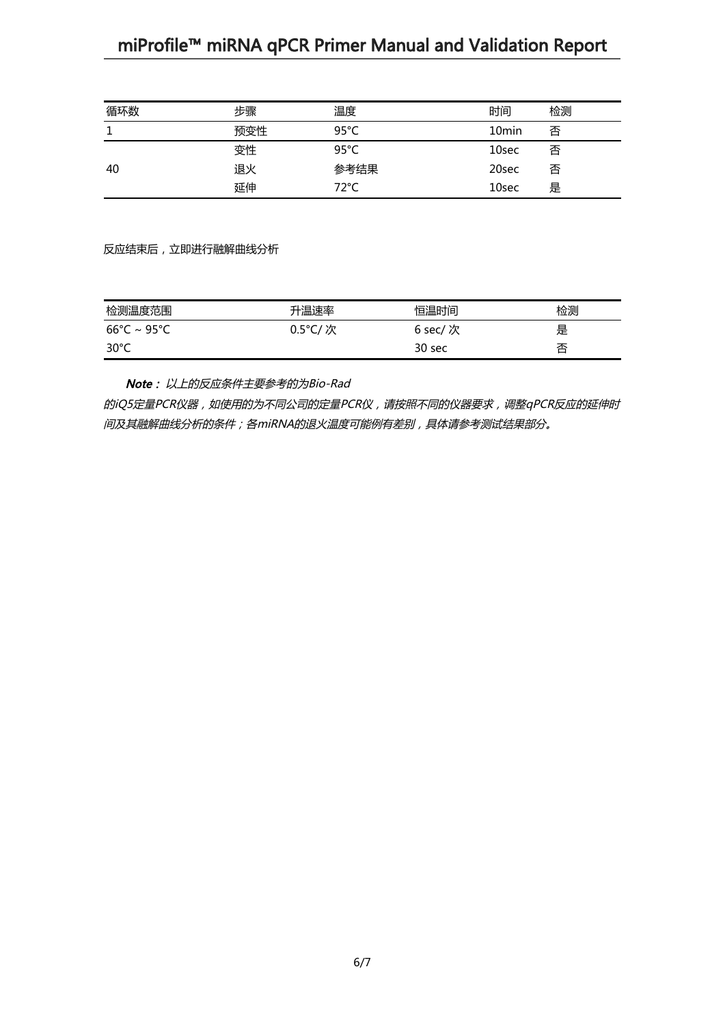# miProfile™ miRNA qPCR Primer Manual and Validation Report

| 循环数 | 步骤  | 温度             | 时间                | 检测 |
|-----|-----|----------------|-------------------|----|
| 1   | 预变性 | $95^{\circ}$ C | 10 <sub>min</sub> | 否  |
|     | 变性  | 95°C           | 10sec             | 否  |
| 40  | 退火  | 参考结果           | 20sec             | 否  |
|     | 延伸  | 72°C           | 10sec             | 是  |

反应结束后,立即进行融解曲线分析

| 检测温度范围                           | 升温速率    | 恒温时间     | 检测 |
|----------------------------------|---------|----------|----|
| $66^{\circ}$ C ~ 95 $^{\circ}$ C | 0.5°C/次 | 6 sec/ 次 | 是  |
| 30°C                             |         | 30 sec   | 否  |

Note: 以上的反应条件主要参考的为Bio-Rad

的iQ5定量PCR仪器,如使用的为不同公司的定量PCR仪,请按照不同的仪器要求,调整qPCR反应的延伸时 间及其融解曲线分析的条件;各miRNA的退火温度可能例有差别,具体请参考测试结果部分。